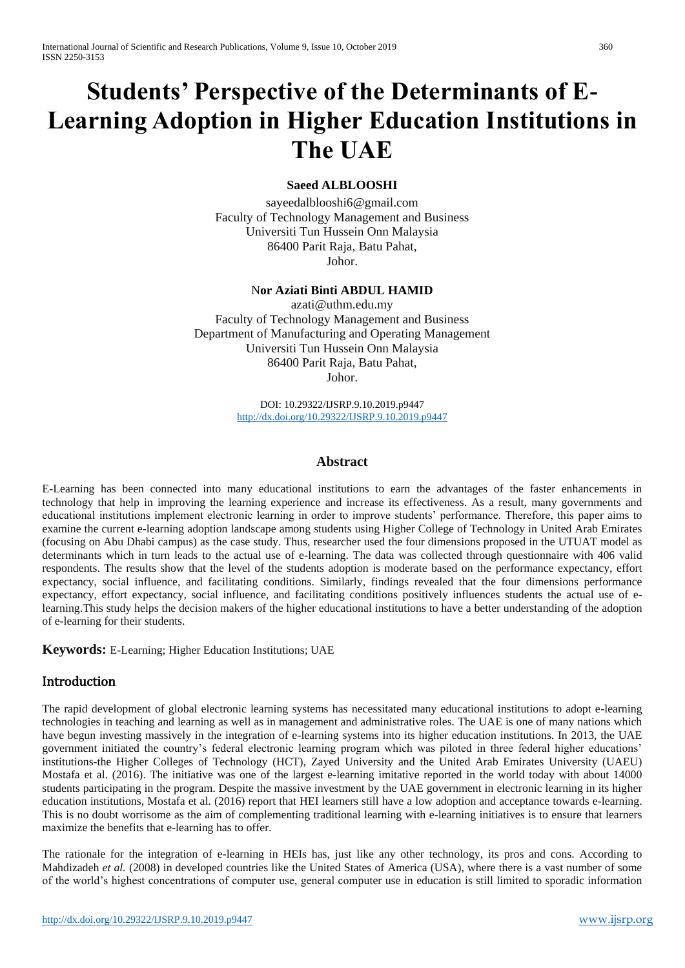# **Students' Perspective of the Determinants of E-Learning Adoption in Higher Education Institutions in The UAE**

## **Saeed ALBLOOSHI**

sayeedalblooshi6@gmail.com Faculty of Technology Management and Business Universiti Tun Hussein Onn Malaysia 86400 Parit Raja, Batu Pahat, Johor.

#### N**[or Aziati Binti ABDUL HAMID](https://community.uthm.edu.my/aziati)**

[azati@uthm.edu.my](mailto:azati@uthm.edu.my) Faculty of Technology Management and Business Department of Manufacturing and Operating Management Universiti Tun Hussein Onn Malaysia 86400 Parit Raja, Batu Pahat, Johor.

> DOI: 10.29322/IJSRP.9.10.2019.p9447 <http://dx.doi.org/10.29322/IJSRP.9.10.2019.p9447>

## **Abstract**

E-Learning has been connected into many educational institutions to earn the advantages of the faster enhancements in technology that help in improving the learning experience and increase its effectiveness. As a result, many governments and educational institutions implement electronic learning in order to improve students' performance. Therefore, this paper aims to examine the current e-learning adoption landscape among students using Higher College of Technology in United Arab Emirates (focusing on Abu Dhabi campus) as the case study. Thus, researcher used the four dimensions proposed in the UTUAT model as determinants which in turn leads to the actual use of e-learning. The data was collected through questionnaire with 406 valid respondents. The results show that the level of the students adoption is moderate based on the performance expectancy, effort expectancy, social influence, and facilitating conditions. Similarly, findings revealed that the four dimensions performance expectancy, effort expectancy, social influence, and facilitating conditions positively influences students the actual use of elearning.This study helps the decision makers of the higher educational institutions to have a better understanding of the adoption of e-learning for their students.

**Keywords:** E-Learning; Higher Education Institutions; UAE

## Introduction

The rapid development of global electronic learning systems has necessitated many educational institutions to adopt e-learning technologies in teaching and learning as well as in management and administrative roles. The UAE is one of many nations which have begun investing massively in the integration of e-learning systems into its higher education institutions. In 2013, the UAE government initiated the country's federal electronic learning program which was piloted in three federal higher educations' institutions-the Higher Colleges of Technology (HCT), Zayed University and the United Arab Emirates University (UAEU) Mostafa et al. (2016). The initiative was one of the largest e-learning imitative reported in the world today with about 14000 students participating in the program. Despite the massive investment by the UAE government in electronic learning in its higher education institutions, Mostafa et al. (2016) report that HEI learners still have a low adoption and acceptance towards e-learning. This is no doubt worrisome as the aim of complementing traditional learning with e-learning initiatives is to ensure that learners maximize the benefits that e-learning has to offer.

The rationale for the integration of e-learning in HEIs has, just like any other technology, its pros and cons. According to Mahdizadeh *et al.* (2008) in developed countries like the United States of America (USA), where there is a vast number of some of the world's highest concentrations of computer use, general computer use in education is still limited to sporadic information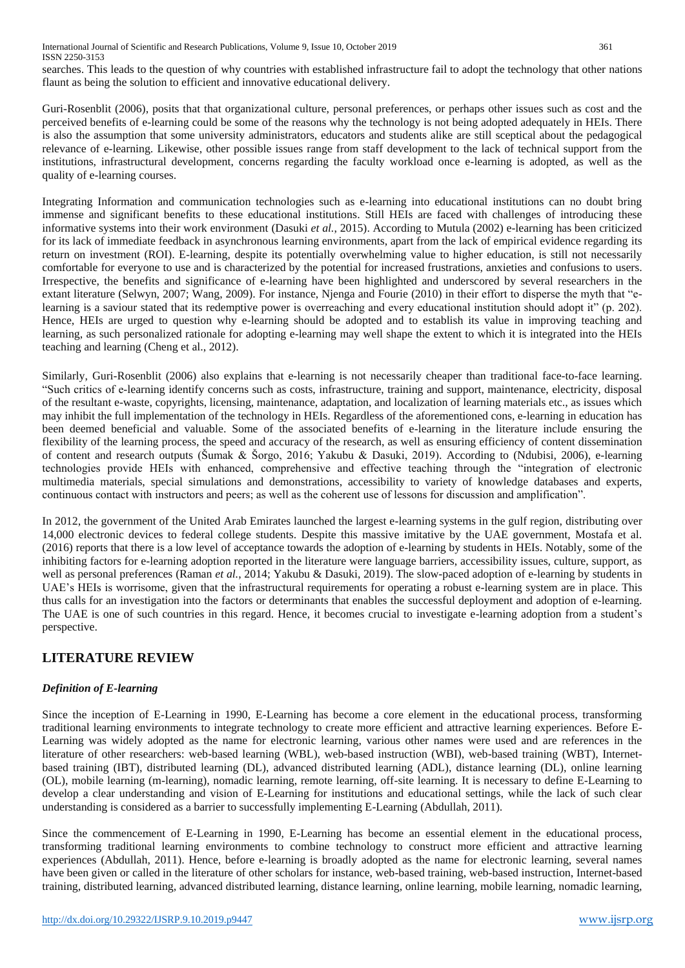International Journal of Scientific and Research Publications, Volume 9, Issue 10, October 2019 361 ISSN 2250-3153

searches. This leads to the question of why countries with established infrastructure fail to adopt the technology that other nations flaunt as being the solution to efficient and innovative educational delivery.

Guri-Rosenblit (2006), posits that that organizational culture, personal preferences, or perhaps other issues such as cost and the perceived benefits of e-learning could be some of the reasons why the technology is not being adopted adequately in HEIs. There is also the assumption that some university administrators, educators and students alike are still sceptical about the pedagogical relevance of e-learning. Likewise, other possible issues range from staff development to the lack of technical support from the institutions, infrastructural development, concerns regarding the faculty workload once e-learning is adopted, as well as the quality of e-learning courses.

Integrating Information and communication technologies such as e-learning into educational institutions can no doubt bring immense and significant benefits to these educational institutions. Still HEIs are faced with challenges of introducing these informative systems into their work environment (Dasuki *et al.*, 2015). According to Mutula (2002) e-learning has been criticized for its lack of immediate feedback in asynchronous learning environments, apart from the lack of empirical evidence regarding its return on investment (ROI). E-learning, despite its potentially overwhelming value to higher education, is still not necessarily comfortable for everyone to use and is characterized by the potential for increased frustrations, anxieties and confusions to users. Irrespective, the benefits and significance of e-learning have been highlighted and underscored by several researchers in the extant literature (Selwyn, 2007; Wang, 2009). For instance, Njenga and Fourie (2010) in their effort to disperse the myth that "elearning is a saviour stated that its redemptive power is overreaching and every educational institution should adopt it" (p. 202). Hence, HEIs are urged to question why e-learning should be adopted and to establish its value in improving teaching and learning, as such personalized rationale for adopting e-learning may well shape the extent to which it is integrated into the HEIs teaching and learning (Cheng et al., 2012).

Similarly, Guri-Rosenblit (2006) also explains that e-learning is not necessarily cheaper than traditional face-to-face learning. "Such critics of e-learning identify concerns such as costs, infrastructure, training and support, maintenance, electricity, disposal of the resultant e-waste, copyrights, licensing, maintenance, adaptation, and localization of learning materials etc., as issues which may inhibit the full implementation of the technology in HEIs. Regardless of the aforementioned cons, e-learning in education has been deemed beneficial and valuable. Some of the associated benefits of e-learning in the literature include ensuring the flexibility of the learning process, the speed and accuracy of the research, as well as ensuring efficiency of content dissemination of content and research outputs (Šumak & Šorgo, 2016; Yakubu & Dasuki, 2019). According to (Ndubisi, 2006), e-learning technologies provide HEIs with enhanced, comprehensive and effective teaching through the "integration of electronic multimedia materials, special simulations and demonstrations, accessibility to variety of knowledge databases and experts, continuous contact with instructors and peers; as well as the coherent use of lessons for discussion and amplification".

In 2012, the government of the United Arab Emirates launched the largest e-learning systems in the gulf region, distributing over 14,000 electronic devices to federal college students. Despite this massive imitative by the UAE government, Mostafa et al. (2016) reports that there is a low level of acceptance towards the adoption of e-learning by students in HEIs. Notably, some of the inhibiting factors for e-learning adoption reported in the literature were language barriers, accessibility issues, culture, support, as well as personal preferences (Raman *et al.*, 2014; Yakubu & Dasuki, 2019). The slow-paced adoption of e-learning by students in UAE's HEIs is worrisome, given that the infrastructural requirements for operating a robust e-learning system are in place. This thus calls for an investigation into the factors or determinants that enables the successful deployment and adoption of e-learning. The UAE is one of such countries in this regard. Hence, it becomes crucial to investigate e-learning adoption from a student's perspective.

## **LITERATURE REVIEW**

## *Definition of E-learning*

Since the inception of E-Learning in 1990, E-Learning has become a core element in the educational process, transforming traditional learning environments to integrate technology to create more efficient and attractive learning experiences. Before E-Learning was widely adopted as the name for electronic learning, various other names were used and are references in the literature of other researchers: web-based learning (WBL), web-based instruction (WBI), web-based training (WBT), Internetbased training (IBT), distributed learning (DL), advanced distributed learning (ADL), distance learning (DL), online learning (OL), mobile learning (m-learning), nomadic learning, remote learning, off-site learning. It is necessary to define E-Learning to develop a clear understanding and vision of E-Learning for institutions and educational settings, while the lack of such clear understanding is considered as a barrier to successfully implementing E-Learning (Abdullah, 2011).

Since the commencement of E-Learning in 1990, E-Learning has become an essential element in the educational process, transforming traditional learning environments to combine technology to construct more efficient and attractive learning experiences (Abdullah, 2011). Hence, before e-learning is broadly adopted as the name for electronic learning, several names have been given or called in the literature of other scholars for instance, web-based training, web-based instruction, Internet-based training, distributed learning, advanced distributed learning, distance learning, online learning, mobile learning, nomadic learning,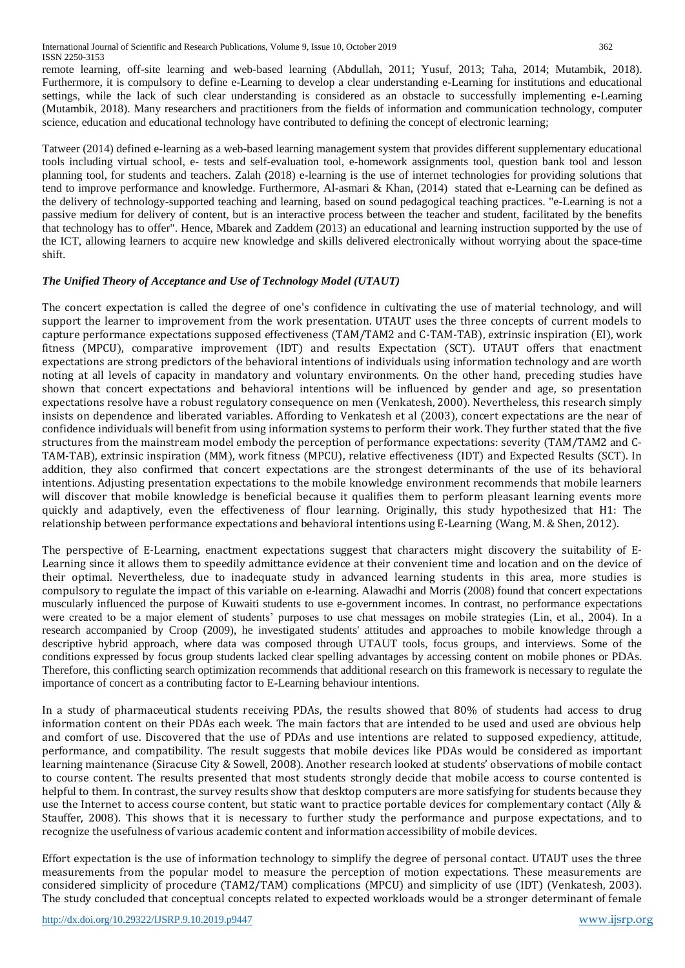International Journal of Scientific and Research Publications, Volume 9, Issue 10, October 2019 362 ISSN 2250-3153

remote learning, off-site learning and web-based learning (Abdullah, 2011; Yusuf, 2013; Taha, 2014; Mutambik, 2018). Furthermore, it is compulsory to define e-Learning to develop a clear understanding e-Learning for institutions and educational settings, while the lack of such clear understanding is considered as an obstacle to successfully implementing e-Learning (Mutambik, 2018). Many researchers and practitioners from the fields of information and communication technology, computer science, education and educational technology have contributed to defining the concept of electronic learning;

Tatweer (2014) defined e-learning as a web-based learning management system that provides different supplementary educational tools including virtual school, e- tests and self-evaluation tool, e-homework assignments tool, question bank tool and lesson planning tool, for students and teachers. Zalah (2018) e-learning is the use of internet technologies for providing solutions that tend to improve performance and knowledge. Furthermore, Al-asmari & Khan, (2014) stated that e-Learning can be defined as the delivery of technology-supported teaching and learning, based on sound pedagogical teaching practices. "e-Learning is not a passive medium for delivery of content, but is an interactive process between the teacher and student, facilitated by the benefits that technology has to offer". Hence, Mbarek and Zaddem (2013) an educational and learning instruction supported by the use of the ICT, allowing learners to acquire new knowledge and skills delivered electronically without worrying about the space-time shift.

## *The Unified Theory of Acceptance and Use of Technology Model (UTAUT)*

The concert expectation is called the degree of one's confidence in cultivating the use of material technology, and will support the learner to improvement from the work presentation. UTAUT uses the three concepts of current models to capture performance expectations supposed effectiveness (TAM/TAM2 and C-TAM-TAB), extrinsic inspiration (EI), work fitness (MPCU), comparative improvement (IDT) and results Expectation (SCT). UTAUT offers that enactment expectations are strong predictors of the behavioral intentions of individuals using information technology and are worth noting at all levels of capacity in mandatory and voluntary environments. On the other hand, preceding studies have shown that concert expectations and behavioral intentions will be influenced by gender and age, so presentation expectations resolve have a robust regulatory consequence on men (Venkatesh, 2000). Nevertheless, this research simply insists on dependence and liberated variables. Affording to Venkatesh et al (2003), concert expectations are the near of confidence individuals will benefit from using information systems to perform their work. They further stated that the five structures from the mainstream model embody the perception of performance expectations: severity (TAM/TAM2 and C-TAM-TAB), extrinsic inspiration (MM), work fitness (MPCU), relative effectiveness (IDT) and Expected Results (SCT). In addition, they also confirmed that concert expectations are the strongest determinants of the use of its behavioral intentions. Adjusting presentation expectations to the mobile knowledge environment recommends that mobile learners will discover that mobile knowledge is beneficial because it qualifies them to perform pleasant learning events more quickly and adaptively, even the effectiveness of flour learning. Originally, this study hypothesized that H1: The relationship between performance expectations and behavioral intentions using E-Learning (Wang, M. & Shen, 2012).

The perspective of E-Learning, enactment expectations suggest that characters might discovery the suitability of E-Learning since it allows them to speedily admittance evidence at their convenient time and location and on the device of their optimal. Nevertheless, due to inadequate study in advanced learning students in this area, more studies is compulsory to regulate the impact of this variable on e-learning. Alawadhi and Morris (2008) found that concert expectations muscularly influenced the purpose of Kuwaiti students to use e-government incomes. In contrast, no performance expectations were created to be a major element of students' purposes to use chat messages on mobile strategies (Lin, et al., 2004). In a research accompanied by Croop (2009), he investigated students' attitudes and approaches to mobile knowledge through a descriptive hybrid approach, where data was composed through UTAUT tools, focus groups, and interviews. Some of the conditions expressed by focus group students lacked clear spelling advantages by accessing content on mobile phones or PDAs. Therefore, this conflicting search optimization recommends that additional research on this framework is necessary to regulate the importance of concert as a contributing factor to E-Learning behaviour intentions.

In a study of pharmaceutical students receiving PDAs, the results showed that 80% of students had access to drug information content on their PDAs each week. The main factors that are intended to be used and used are obvious help and comfort of use. Discovered that the use of PDAs and use intentions are related to supposed expediency, attitude, performance, and compatibility. The result suggests that mobile devices like PDAs would be considered as important learning maintenance (Siracuse City & Sowell, 2008). Another research looked at students' observations of mobile contact to course content. The results presented that most students strongly decide that mobile access to course contented is helpful to them. In contrast, the survey results show that desktop computers are more satisfying for students because they use the Internet to access course content, but static want to practice portable devices for complementary contact (Ally & Stauffer, 2008). This shows that it is necessary to further study the performance and purpose expectations, and to recognize the usefulness of various academic content and information accessibility of mobile devices.

Effort expectation is the use of information technology to simplify the degree of personal contact. UTAUT uses the three measurements from the popular model to measure the perception of motion expectations. These measurements are considered simplicity of procedure (TAM2/TAM) complications (MPCU) and simplicity of use (IDT) (Venkatesh, 2003). The study concluded that conceptual concepts related to expected workloads would be a stronger determinant of female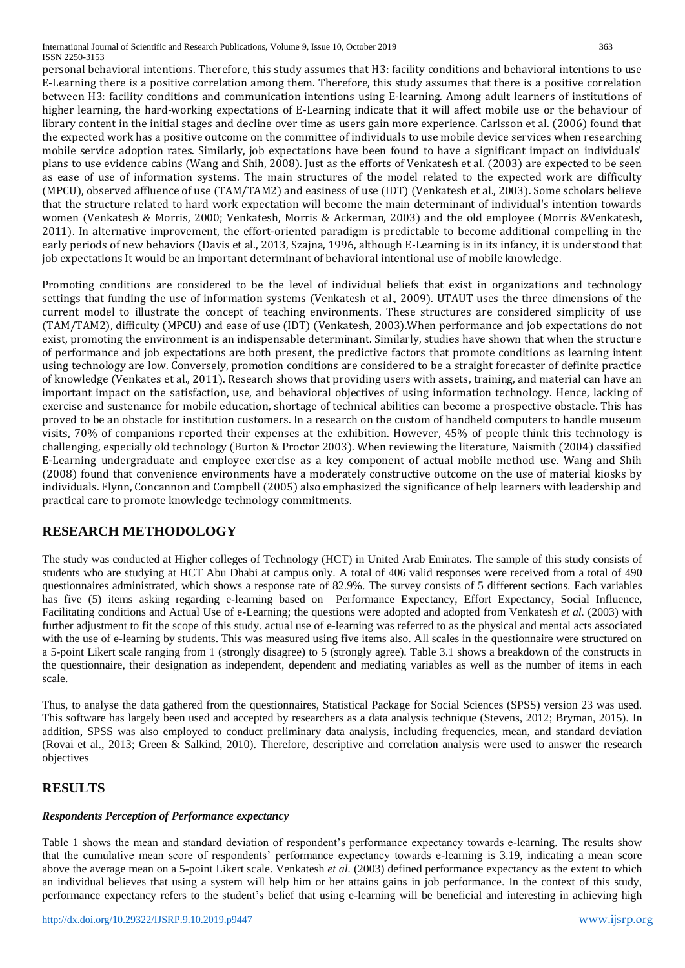personal behavioral intentions. Therefore, this study assumes that H3: facility conditions and behavioral intentions to use E-Learning there is a positive correlation among them. Therefore, this study assumes that there is a positive correlation between H3: facility conditions and communication intentions using E-learning. Among adult learners of institutions of higher learning, the hard-working expectations of E-Learning indicate that it will affect mobile use or the behaviour of library content in the initial stages and decline over time as users gain more experience. Carlsson et al. (2006) found that the expected work has a positive outcome on the committee of individuals to use mobile device services when researching mobile service adoption rates. Similarly, job expectations have been found to have a significant impact on individuals' plans to use evidence cabins (Wang and Shih, 2008). Just as the efforts of Venkatesh et al. (2003) are expected to be seen as ease of use of information systems. The main structures of the model related to the expected work are difficulty (MPCU), observed affluence of use (TAM/TAM2) and easiness of use (IDT) (Venkatesh et al., 2003). Some scholars believe that the structure related to hard work expectation will become the main determinant of individual's intention towards women (Venkatesh & Morris, 2000; Venkatesh, Morris & Ackerman, 2003) and the old employee (Morris &Venkatesh, 2011). In alternative improvement, the effort-oriented paradigm is predictable to become additional compelling in the early periods of new behaviors (Davis et al., 2013, Szajna, 1996, although E-Learning is in its infancy, it is understood that job expectations It would be an important determinant of behavioral intentional use of mobile knowledge.

Promoting conditions are considered to be the level of individual beliefs that exist in organizations and technology settings that funding the use of information systems (Venkatesh et al., 2009). UTAUT uses the three dimensions of the current model to illustrate the concept of teaching environments. These structures are considered simplicity of use (TAM/TAM2), difficulty (MPCU) and ease of use (IDT) (Venkatesh, 2003).When performance and job expectations do not exist, promoting the environment is an indispensable determinant. Similarly, studies have shown that when the structure of performance and job expectations are both present, the predictive factors that promote conditions as learning intent using technology are low. Conversely, promotion conditions are considered to be a straight forecaster of definite practice of knowledge (Venkates et al., 2011). Research shows that providing users with assets, training, and material can have an important impact on the satisfaction, use, and behavioral objectives of using information technology. Hence, lacking of exercise and sustenance for mobile education, shortage of technical abilities can become a prospective obstacle. This has proved to be an obstacle for institution customers. In a research on the custom of handheld computers to handle museum visits, 70% of companions reported their expenses at the exhibition. However, 45% of people think this technology is challenging, especially old technology (Burton & Proctor 2003). When reviewing the literature, Naismith (2004) classified E-Learning undergraduate and employee exercise as a key component of actual mobile method use. Wang and Shih (2008) found that convenience environments have a moderately constructive outcome on the use of material kiosks by individuals. Flynn, Concannon and Compbell (2005) also emphasized the significance of help learners with leadership and practical care to promote knowledge technology commitments.

# **RESEARCH METHODOLOGY**

The study was conducted at Higher colleges of Technology (HCT) in United Arab Emirates. The sample of this study consists of students who are studying at HCT Abu Dhabi at campus only. A total of 406 valid responses were received from a total of 490 questionnaires administrated, which shows a response rate of 82.9%. The survey consists of 5 different sections. Each variables has five (5) items asking regarding e-learning based on Performance Expectancy, Effort Expectancy, Social Influence, Facilitating conditions and Actual Use of e-Learning; the questions were adopted and adopted from Venkatesh *et al.* (2003) with further adjustment to fit the scope of this study. actual use of e-learning was referred to as the physical and mental acts associated with the use of e-learning by students. This was measured using five items also. All scales in the questionnaire were structured on a 5-point Likert scale ranging from 1 (strongly disagree) to 5 (strongly agree). Table 3.1 shows a breakdown of the constructs in the questionnaire, their designation as independent, dependent and mediating variables as well as the number of items in each scale.

Thus, to analyse the data gathered from the questionnaires, Statistical Package for Social Sciences (SPSS) version 23 was used. This software has largely been used and accepted by researchers as a data analysis technique (Stevens, 2012; Bryman, 2015). In addition, SPSS was also employed to conduct preliminary data analysis, including frequencies, mean, and standard deviation (Rovai et al., 2013; Green & Salkind, 2010). Therefore, descriptive and correlation analysis were used to answer the research objectives

# **RESULTS**

## *Respondents Perception of Performance expectancy*

Table 1 shows the mean and standard deviation of respondent's performance expectancy towards e-learning. The results show that the cumulative mean score of respondents' performance expectancy towards e-learning is 3.19, indicating a mean score above the average mean on a 5-point Likert scale. Venkatesh *et al.* (2003) defined performance expectancy as the extent to which an individual believes that using a system will help him or her attains gains in job performance. In the context of this study, performance expectancy refers to the student's belief that using e-learning will be beneficial and interesting in achieving high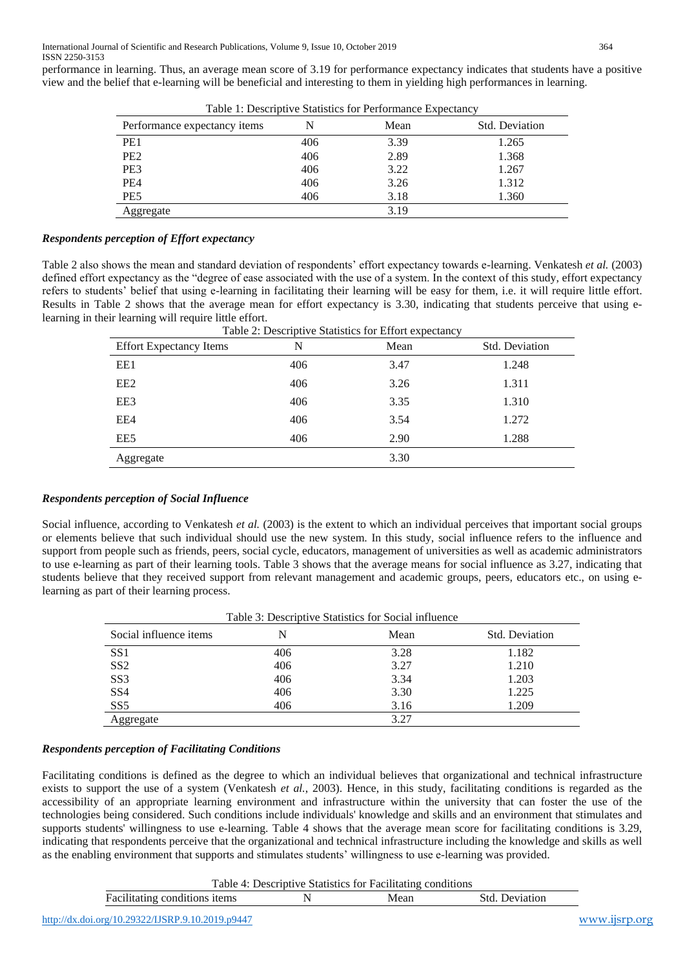performance in learning. Thus, an average mean score of 3.19 for performance expectancy indicates that students have a positive view and the belief that e-learning will be beneficial and interesting to them in yielding high performances in learning.

| Table 1. Descriptive Statistics for Ferrormance Expectancy |     |      |                       |  |  |  |
|------------------------------------------------------------|-----|------|-----------------------|--|--|--|
| Performance expectancy items                               |     | Mean | <b>Std. Deviation</b> |  |  |  |
| PE <sub>1</sub>                                            | 406 | 3.39 | 1.265                 |  |  |  |
| PE <sub>2</sub>                                            | 406 | 2.89 | 1.368                 |  |  |  |
| PE <sub>3</sub>                                            | 406 | 3.22 | 1.267                 |  |  |  |
| PE4                                                        | 406 | 3.26 | 1.312                 |  |  |  |
| PE <sub>5</sub>                                            | 406 | 3.18 | 1.360                 |  |  |  |
| Aggregate                                                  |     | 3.19 |                       |  |  |  |

Table 1: Descriptive Statistics for Performance Expectancy

#### *Respondents perception of Effort expectancy*

Table 2 also shows the mean and standard deviation of respondents' effort expectancy towards e-learning. Venkatesh *et al.* (2003) defined effort expectancy as the "degree of ease associated with the use of a system. In the context of this study, effort expectancy refers to students' belief that using e-learning in facilitating their learning will be easy for them, i.e. it will require little effort. Results in Table 2 shows that the average mean for effort expectancy is 3.30, indicating that students perceive that using elearning in their learning will require little effort. we errorie<br>Table 2: Descriptive Statistics for Effort expects

| <b>Effort Expectancy Items</b> | N   | Mean | <b>Std. Deviation</b> |
|--------------------------------|-----|------|-----------------------|
| EE1                            | 406 | 3.47 | 1.248                 |
| EE <sub>2</sub>                | 406 | 3.26 | 1.311                 |
| EE3                            | 406 | 3.35 | 1.310                 |
| EE4                            | 406 | 3.54 | 1.272                 |
| EE <sub>5</sub>                | 406 | 2.90 | 1.288                 |
| Aggregate                      |     | 3.30 |                       |

#### *Respondents perception of Social Influence*

Social influence, according to Venkatesh *et al.* (2003) is the extent to which an individual perceives that important social groups or elements believe that such individual should use the new system. In this study, social influence refers to the influence and support from people such as friends, peers, social cycle, educators, management of universities as well as academic administrators to use e-learning as part of their learning tools. Table 3 shows that the average means for social influence as 3.27, indicating that students believe that they received support from relevant management and academic groups, peers, educators etc., on using elearning as part of their learning process.

| Table 3: Descriptive Statistics for Social influence |     |      |                |  |  |
|------------------------------------------------------|-----|------|----------------|--|--|
| Social influence items                               |     | Mean | Std. Deviation |  |  |
| SS1                                                  | 406 | 3.28 | 1.182          |  |  |
| SS2                                                  | 406 | 3.27 | 1.210          |  |  |
| SS <sub>3</sub>                                      | 406 | 3.34 | 1.203          |  |  |
| SS <sub>4</sub>                                      | 406 | 3.30 | 1.225          |  |  |
| SS <sub>5</sub>                                      | 406 | 3.16 | 1.209          |  |  |
| 3.27<br>Aggregate                                    |     |      |                |  |  |

#### *Respondents perception of Facilitating Conditions*

Facilitating conditions is defined as the degree to which an individual believes that organizational and technical infrastructure exists to support the use of a system (Venkatesh *et al.*, 2003). Hence, in this study, facilitating conditions is regarded as the accessibility of an appropriate learning environment and infrastructure within the university that can foster the use of the technologies being considered. Such conditions include individuals' knowledge and skills and an environment that stimulates and supports students' willingness to use e-learning. Table 4 shows that the average mean score for facilitating conditions is 3.29, indicating that respondents perceive that the organizational and technical infrastructure including the knowledge and skills as well as the enabling environment that supports and stimulates students' willingness to use e-learning was provided.

| …r Hacilitatin<br>onditions<br>$\sim$ 11000 $\sim$<br>. able<br>.1VP<br>tor<br>statistics * |  |  |            |  |
|---------------------------------------------------------------------------------------------|--|--|------------|--|
| $\overline{\phantom{0}}$<br><sub>1</sub> tems<br><b>EXAMILIONS</b> Heavy                    |  |  | 10r<br>٠t٢ |  |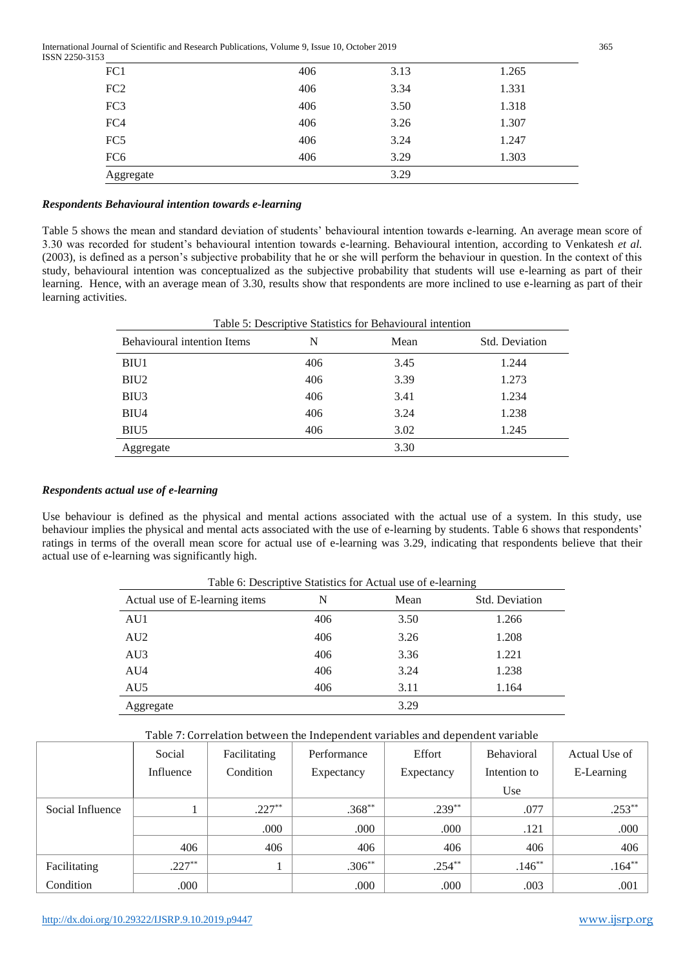International Journal of Scientific and Research Publications, Volume 9, Issue 10, October 2019 365 ISSN 2250-3153

| . .             |     |      |       |
|-----------------|-----|------|-------|
| FC1             | 406 | 3.13 | 1.265 |
| FC <sub>2</sub> | 406 | 3.34 | 1.331 |
| FC3             | 406 | 3.50 | 1.318 |
| FC4             | 406 | 3.26 | 1.307 |
| FC5             | 406 | 3.24 | 1.247 |
| FC <sub>6</sub> | 406 | 3.29 | 1.303 |
| Aggregate       |     | 3.29 |       |
|                 |     |      |       |

#### *Respondents Behavioural intention towards e-learning*

Table 5 shows the mean and standard deviation of students' behavioural intention towards e-learning. An average mean score of 3.30 was recorded for student's behavioural intention towards e-learning. Behavioural intention, according to Venkatesh *et al.* (2003), is defined as a person's subjective probability that he or she will perform the behaviour in question. In the context of this study, behavioural intention was conceptualized as the subjective probability that students will use e-learning as part of their learning. Hence, with an average mean of 3.30, results show that respondents are more inclined to use e-learning as part of their learning activities.

| Table 5: Descriptive Statistics for Behavioural intention |     |      |                       |  |  |
|-----------------------------------------------------------|-----|------|-----------------------|--|--|
| <b>Behavioural intention Items</b>                        | N   | Mean | <b>Std. Deviation</b> |  |  |
| BIU1                                                      | 406 | 3.45 | 1.244                 |  |  |
| BIU <sub>2</sub>                                          | 406 | 3.39 | 1.273                 |  |  |
| BIU <sub>3</sub>                                          | 406 | 3.41 | 1.234                 |  |  |
| BIU <sub>4</sub>                                          | 406 | 3.24 | 1.238                 |  |  |
| BIU <sub>5</sub>                                          | 406 | 3.02 | 1.245                 |  |  |
| Aggregate                                                 |     | 3.30 |                       |  |  |

#### *Respondents actual use of e-learning*

Use behaviour is defined as the physical and mental actions associated with the actual use of a system. In this study, use behaviour implies the physical and mental acts associated with the use of e-learning by students. Table 6 shows that respondents' ratings in terms of the overall mean score for actual use of e-learning was 3.29, indicating that respondents believe that their actual use of e-learning was significantly high.

Actual use of E-learning items N Mean Std. Deviation AU1 406 3.50 1.266 AU2 406 3.26 1.208 AU3 406 3.36 1.221 AU4 406 3.24 1.238 AU5 406 3.11 1.164 Aggregate 3.29

Table 6: Descriptive Statistics for Actual use of e-learning

| Table 7: Correlation between the Independent variables and dependent variable |  |  |
|-------------------------------------------------------------------------------|--|--|
|-------------------------------------------------------------------------------|--|--|

|                  | Social    | Facilitating | Performance | Effort     | Behavioral   | Actual Use of |
|------------------|-----------|--------------|-------------|------------|--------------|---------------|
|                  | Influence | Condition    | Expectancy  | Expectancy | Intention to | E-Learning    |
|                  |           |              |             |            | Use          |               |
| Social Influence |           | $.227***$    | $.368**$    | $.239**$   | .077         | $.253**$      |
|                  |           | .000         | .000        | .000       | .121         | .000          |
|                  | 406       | 406          | 406         | 406        | 406          | 406           |
| Facilitating     | $.227**$  |              | $.306**$    | $.254***$  | $.146**$     | $.164***$     |
| Condition        | .000      |              | .000        | .000       | .003         | .001          |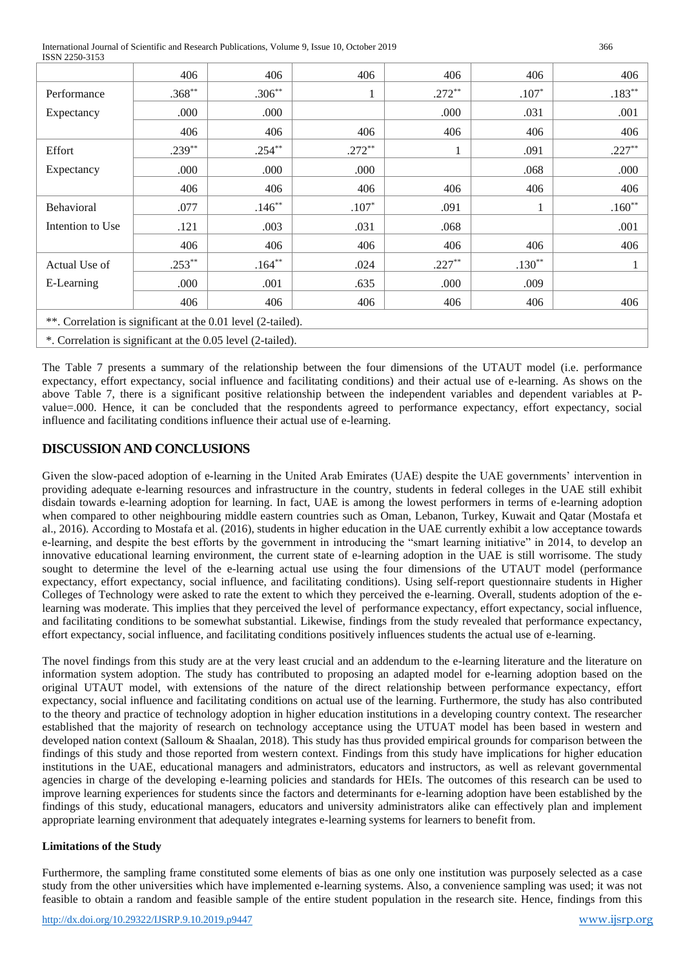International Journal of Scientific and Research Publications, Volume 9, Issue 10, October 2019 366  $ICEN 2250-2152$ 

| 100112200-0100                                               |                                                             |           |          |          |          |          |  |
|--------------------------------------------------------------|-------------------------------------------------------------|-----------|----------|----------|----------|----------|--|
|                                                              | 406                                                         | 406       | 406      | 406      | 406      | 406      |  |
| Performance                                                  | $.368**$                                                    | $.306***$ |          | $.272**$ | $.107*$  | $.183**$ |  |
| Expectancy                                                   | .000                                                        | .000      |          | .000     | .031     | .001     |  |
|                                                              | 406                                                         | 406       | 406      | 406      | 406      | 406      |  |
| Effort                                                       | $.239**$                                                    | $.254***$ | $.272**$ |          | .091     | $.227**$ |  |
| Expectancy                                                   | .000                                                        | .000      | .000     |          | .068     | .000     |  |
|                                                              | 406                                                         | 406       | 406      | 406      | 406      | 406      |  |
| Behavioral                                                   | .077                                                        | $.146**$  | $.107*$  | .091     |          | $.160**$ |  |
| Intention to Use                                             | .121                                                        | .003      | .031     | .068     |          | .001     |  |
|                                                              | 406                                                         | 406       | 406      | 406      | 406      | 406      |  |
| Actual Use of                                                | $.253***$                                                   | $.164***$ | .024     | $.227**$ | $.130**$ |          |  |
| E-Learning                                                   | .000                                                        | .001      | .635     | .000     | .009     |          |  |
|                                                              | 406                                                         | 406       | 406      | 406      | 406      | 406      |  |
| **. Correlation is significant at the 0.01 level (2-tailed). |                                                             |           |          |          |          |          |  |
|                                                              | *. Correlation is significant at the 0.05 level (2-tailed). |           |          |          |          |          |  |

The Table 7 presents a summary of the relationship between the four dimensions of the UTAUT model (i.e. performance expectancy, effort expectancy, social influence and facilitating conditions) and their actual use of e-learning. As shows on the above Table 7, there is a significant positive relationship between the independent variables and dependent variables at Pvalue=.000. Hence, it can be concluded that the respondents agreed to performance expectancy, effort expectancy, social influence and facilitating conditions influence their actual use of e-learning.

# **DISCUSSION AND CONCLUSIONS**

Given the slow-paced adoption of e-learning in the United Arab Emirates (UAE) despite the UAE governments' intervention in providing adequate e-learning resources and infrastructure in the country, students in federal colleges in the UAE still exhibit disdain towards e-learning adoption for learning. In fact, UAE is among the lowest performers in terms of e-learning adoption when compared to other neighbouring middle eastern countries such as Oman, Lebanon, Turkey, Kuwait and Qatar (Mostafa et al., 2016). According to Mostafa et al. (2016), students in higher education in the UAE currently exhibit a low acceptance towards e-learning, and despite the best efforts by the government in introducing the "smart learning initiative" in 2014, to develop an innovative educational learning environment, the current state of e-learning adoption in the UAE is still worrisome. The study sought to determine the level of the e-learning actual use using the four dimensions of the UTAUT model (performance expectancy, effort expectancy, social influence, and facilitating conditions). Using self-report questionnaire students in Higher Colleges of Technology were asked to rate the extent to which they perceived the e-learning. Overall, students adoption of the elearning was moderate. This implies that they perceived the level of performance expectancy, effort expectancy, social influence, and facilitating conditions to be somewhat substantial. Likewise, findings from the study revealed that performance expectancy, effort expectancy, social influence, and facilitating conditions positively influences students the actual use of e-learning.

The novel findings from this study are at the very least crucial and an addendum to the e-learning literature and the literature on information system adoption. The study has contributed to proposing an adapted model for e-learning adoption based on the original UTAUT model, with extensions of the nature of the direct relationship between performance expectancy, effort expectancy, social influence and facilitating conditions on actual use of the learning. Furthermore, the study has also contributed to the theory and practice of technology adoption in higher education institutions in a developing country context. The researcher established that the majority of research on technology acceptance using the UTUAT model has been based in western and developed nation context (Salloum & Shaalan, 2018). This study has thus provided empirical grounds for comparison between the findings of this study and those reported from western context. Findings from this study have implications for higher education institutions in the UAE, educational managers and administrators, educators and instructors, as well as relevant governmental agencies in charge of the developing e-learning policies and standards for HEIs. The outcomes of this research can be used to improve learning experiences for students since the factors and determinants for e-learning adoption have been established by the findings of this study, educational managers, educators and university administrators alike can effectively plan and implement appropriate learning environment that adequately integrates e-learning systems for learners to benefit from.

## **Limitations of the Study**

Furthermore, the sampling frame constituted some elements of bias as one only one institution was purposely selected as a case study from the other universities which have implemented e-learning systems. Also, a convenience sampling was used; it was not feasible to obtain a random and feasible sample of the entire student population in the research site. Hence, findings from this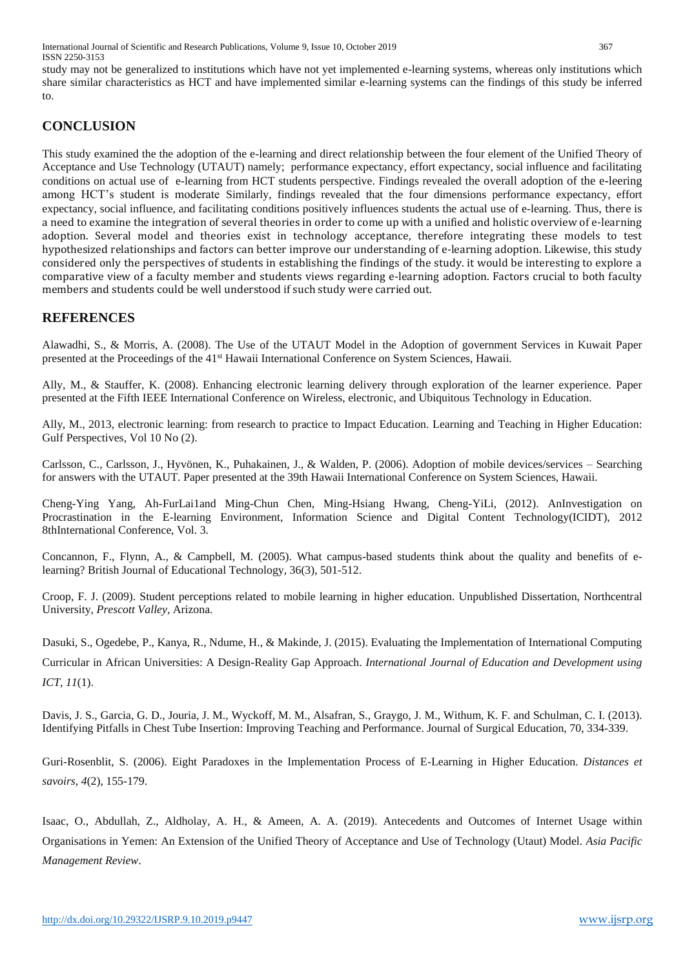study may not be generalized to institutions which have not yet implemented e-learning systems, whereas only institutions which share similar characteristics as HCT and have implemented similar e-learning systems can the findings of this study be inferred to.

# **CONCLUSION**

This study examined the the adoption of the e-learning and direct relationship between the four element of the Unified Theory of Acceptance and Use Technology (UTAUT) namely; performance expectancy, effort expectancy, social influence and facilitating conditions on actual use of e-learning from HCT students perspective. Findings revealed the overall adoption of the e-leering among HCT's student is moderate Similarly, findings revealed that the four dimensions performance expectancy, effort expectancy, social influence, and facilitating conditions positively influences students the actual use of e-learning. Thus, there is a need to examine the integration of several theories in order to come up with a unified and holistic overview of e-learning adoption. Several model and theories exist in technology acceptance, therefore integrating these models to test hypothesized relationships and factors can better improve our understanding of e-learning adoption. Likewise, this study considered only the perspectives of students in establishing the findings of the study. it would be interesting to explore a comparative view of a faculty member and students views regarding e-learning adoption. Factors crucial to both faculty members and students could be well understood if such study were carried out.

# **REFERENCES**

Alawadhi, S., & Morris, A. (2008). The Use of the UTAUT Model in the Adoption of government Services in Kuwait Paper presented at the Proceedings of the 41<sup>st</sup> Hawaii International Conference on System Sciences, Hawaii.

Ally, M., & Stauffer, K. (2008). Enhancing electronic learning delivery through exploration of the learner experience. Paper presented at the Fifth IEEE International Conference on Wireless, electronic, and Ubiquitous Technology in Education.

Ally, M., 2013, electronic learning: from research to practice to Impact Education. Learning and Teaching in Higher Education: Gulf Perspectives, Vol 10 No (2).

Carlsson, C., Carlsson, J., Hyvönen, K., Puhakainen, J., & Walden, P. (2006). Adoption of mobile devices/services – Searching for answers with the UTAUT. Paper presented at the 39th Hawaii International Conference on System Sciences, Hawaii.

Cheng-Ying Yang, Ah-FurLai1and Ming-Chun Chen, Ming-Hsiang Hwang, Cheng-YiLi, (2012). AnInvestigation on Procrastination in the E-learning Environment, Information Science and Digital Content Technology(ICIDT), 2012 8thInternational Conference, Vol. 3.

Concannon, F., Flynn, A., & Campbell, M. (2005). What campus-based students think about the quality and benefits of elearning? British Journal of Educational Technology, 36(3), 501-512.

Croop, F. J. (2009). Student perceptions related to mobile learning in higher education. Unpublished Dissertation, Northcentral University, *Prescott Valley,* Arizona.

Dasuki, S., Ogedebe, P., Kanya, R., Ndume, H., & Makinde, J. (2015). Evaluating the Implementation of International Computing

Curricular in African Universities: A Design-Reality Gap Approach. *International Journal of Education and Development using ICT, 11*(1).

Davis, J. S., Garcia, G. D., Jouria, J. M., Wyckoff, M. M., Alsafran, S., Graygo, J. M., Withum, K. F. and Schulman, C. I. (2013). Identifying Pitfalls in Chest Tube Insertion: Improving Teaching and Performance. Journal of Surgical Education, 70, 334-339.

Guri-Rosenblit, S. (2006). Eight Paradoxes in the Implementation Process of E-Learning in Higher Education. *Distances et savoirs, 4*(2), 155-179.

Isaac, O., Abdullah, Z., Aldholay, A. H., & Ameen, A. A. (2019). Antecedents and Outcomes of Internet Usage within Organisations in Yemen: An Extension of the Unified Theory of Acceptance and Use of Technology (Utaut) Model. *Asia Pacific Management Review*.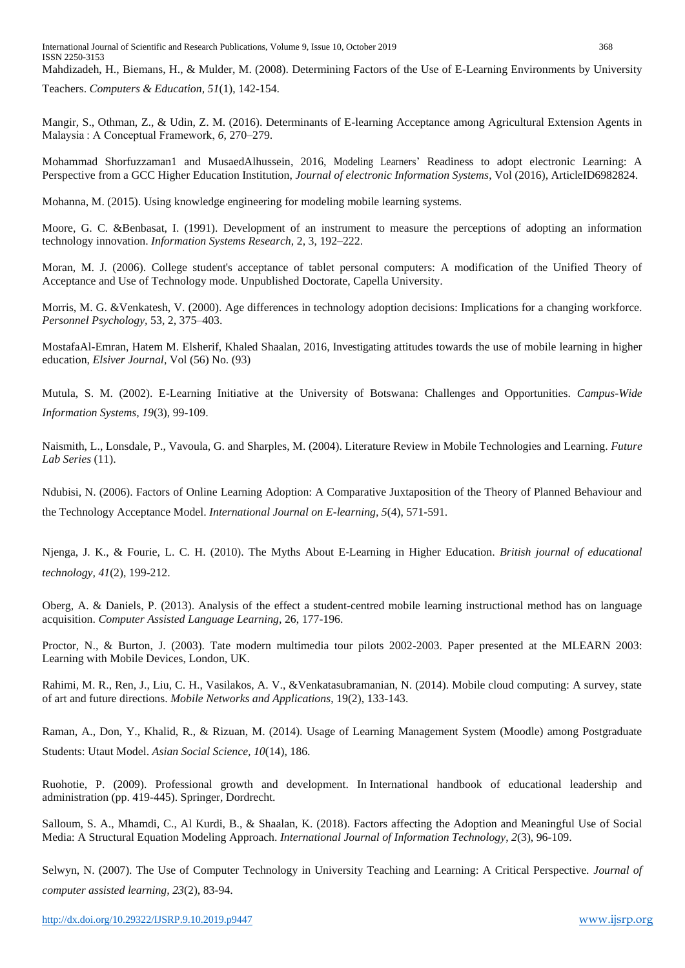Mahdizadeh, H., Biemans, H., & Mulder, M. (2008). Determining Factors of the Use of E-Learning Environments by University

Teachers. *Computers & Education, 51*(1), 142-154.

Mangir, S., Othman, Z., & Udin, Z. M. (2016). Determinants of E-learning Acceptance among Agricultural Extension Agents in Malaysia : A Conceptual Framework, *6*, 270–279.

Mohammad Shorfuzzaman1 and MusaedAlhussein, 2016, Modeling Learners' Readiness to adopt electronic Learning: A Perspective from a GCC Higher Education Institution, *Journal of electronic Information Systems*, Vol (2016), ArticleID6982824.

Mohanna, M. (2015). Using knowledge engineering for modeling mobile learning systems.

Moore, G. C. &Benbasat, I. (1991). Development of an instrument to measure the perceptions of adopting an information technology innovation. *Information Systems Research*, 2, 3, 192–222.

Moran, M. J. (2006). College student's acceptance of tablet personal computers: A modification of the Unified Theory of Acceptance and Use of Technology mode. Unpublished Doctorate, Capella University.

Morris, M. G. &Venkatesh, V. (2000). Age differences in technology adoption decisions: Implications for a changing workforce. *Personnel Psychology,* 53, 2, 375–403.

MostafaAl-Emran, Hatem M. Elsherif, Khaled Shaalan, 2016, Investigating attitudes towards the use of mobile learning in higher education, *Elsiver Journal*, Vol (56) No. (93)

Mutula, S. M. (2002). E-Learning Initiative at the University of Botswana: Challenges and Opportunities. *Campus-Wide Information Systems, 19*(3), 99-109.

Naismith, L., Lonsdale, P., Vavoula, G. and Sharples, M. (2004). Literature Review in Mobile Technologies and Learning. *Future Lab Series* (11).

Ndubisi, N. (2006). Factors of Online Learning Adoption: A Comparative Juxtaposition of the Theory of Planned Behaviour and the Technology Acceptance Model. *International Journal on E-learning, 5*(4), 571-591.

Njenga, J. K., & Fourie, L. C. H. (2010). The Myths About E‐Learning in Higher Education. *British journal of educational technology, 41*(2), 199-212.

Oberg, A. & Daniels, P. (2013). Analysis of the effect a student-centred mobile learning instructional method has on language acquisition. *Computer Assisted Language Learning*, 26, 177-196.

Proctor, N., & Burton, J. (2003). Tate modern multimedia tour pilots 2002-2003. Paper presented at the MLEARN 2003: Learning with Mobile Devices, London, UK.

Rahimi, M. R., Ren, J., Liu, C. H., Vasilakos, A. V., &Venkatasubramanian, N. (2014). Mobile cloud computing: A survey, state of art and future directions. *Mobile Networks and Applications*, 19(2), 133-143.

Raman, A., Don, Y., Khalid, R., & Rizuan, M. (2014). Usage of Learning Management System (Moodle) among Postgraduate Students: Utaut Model. *Asian Social Science, 10*(14), 186.

Ruohotie, P. (2009). Professional growth and development. In International handbook of educational leadership and administration (pp. 419-445). Springer, Dordrecht.

Salloum, S. A., Mhamdi, C., Al Kurdi, B., & Shaalan, K. (2018). Factors affecting the Adoption and Meaningful Use of Social Media: A Structural Equation Modeling Approach. *International Journal of Information Technology*, *2*(3), 96-109.

Selwyn, N. (2007). The Use of Computer Technology in University Teaching and Learning: A Critical Perspective. *Journal of computer assisted learning, 23*(2), 83-94.